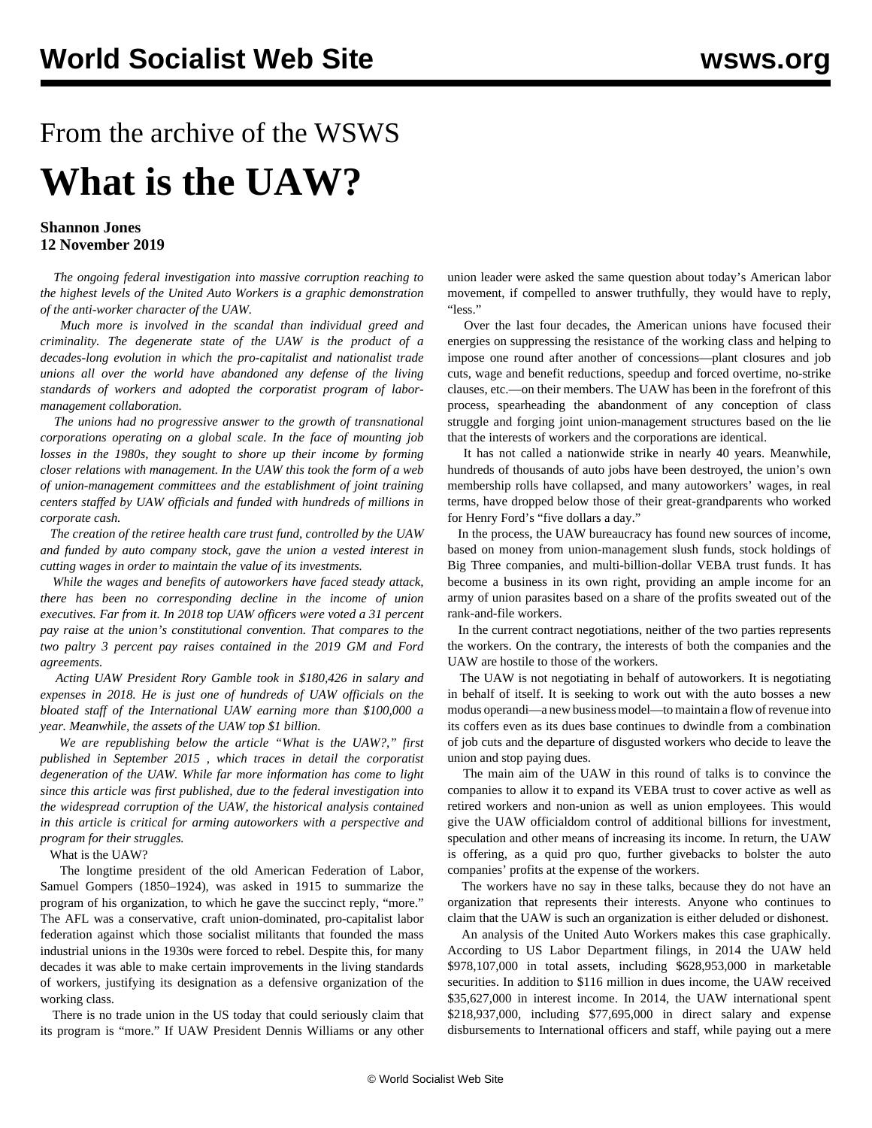## From the archive of the WSWS **What is the UAW?**

## **Shannon Jones 12 November 2019**

 *The ongoing federal investigation into massive corruption reaching to the highest levels of the United Auto Workers is a graphic demonstration of the anti-worker character of the UAW.*

 *Much more is involved in the scandal than individual greed and criminality. The degenerate state of the UAW is the product of a decades-long evolution in which the pro-capitalist and nationalist trade unions all over the world have abandoned any defense of the living standards of workers and adopted the corporatist program of labormanagement collaboration.*

 *The unions had no progressive answer to the growth of transnational corporations operating on a global scale. In the face of mounting job losses in the 1980s, they sought to shore up their income by forming closer relations with management. In the UAW this took the form of a web of union-management committees and the establishment of joint training centers staffed by UAW officials and funded with hundreds of millions in corporate cash.*

 *The creation of the retiree health care trust fund, controlled by the UAW and funded by auto company stock, gave the union a vested interest in cutting wages in order to maintain the value of its investments.*

 *While the wages and benefits of autoworkers have faced steady attack, there has been no corresponding decline in the income of union executives. Far from it. In 2018 top UAW officers were voted a 31 percent pay raise at the union's constitutional convention. That compares to the two paltry 3 percent pay raises contained in the 2019 GM and Ford agreements.*

 *Acting UAW President Rory Gamble took in \$180,426 in salary and expenses in 2018. He is just one of hundreds of UAW officials on the bloated staff of the International UAW earning more than \$100,000 a year. Meanwhile, the assets of the UAW top \$1 billion.*

 *We are republishing below the article "What is the UAW?," first published in September 2015 , which traces in detail the corporatist degeneration of the UAW. While far more information has come to light since this article was first published, due to the federal investigation into the widespread corruption of the UAW, the historical analysis contained in this article is critical for arming autoworkers with a perspective and program for their struggles.*

## What is the UAW?

 The longtime president of the old American Federation of Labor, Samuel Gompers (1850–1924), was asked in 1915 to summarize the program of his organization, to which he gave the succinct reply, "more." The AFL was a conservative, craft union-dominated, pro-capitalist labor federation against which those socialist militants that founded the mass industrial unions in the 1930s were forced to rebel. Despite this, for many decades it was able to make certain improvements in the living standards of workers, justifying its designation as a defensive organization of the working class.

 There is no trade union in the US today that could seriously claim that its program is "more." If UAW President Dennis Williams or any other union leader were asked the same question about today's American labor movement, if compelled to answer truthfully, they would have to reply, "less."

 Over the last four decades, the American unions have focused their energies on suppressing the resistance of the working class and helping to impose one round after another of concessions—plant closures and job cuts, wage and benefit reductions, speedup and forced overtime, no-strike clauses, etc.—on their members. The UAW has been in the forefront of this process, spearheading the abandonment of any conception of class struggle and forging joint union-management structures based on the lie that the interests of workers and the corporations are identical.

 It has not called a nationwide strike in nearly 40 years. Meanwhile, hundreds of thousands of auto jobs have been destroyed, the union's own membership rolls have collapsed, and many autoworkers' wages, in real terms, have dropped below those of their great-grandparents who worked for Henry Ford's "five dollars a day."

 In the process, the UAW bureaucracy has found new sources of income, based on money from union-management slush funds, stock holdings of Big Three companies, and multi-billion-dollar VEBA trust funds. It has become a business in its own right, providing an ample income for an army of union parasites based on a share of the profits sweated out of the rank-and-file workers.

 In the current contract negotiations, neither of the two parties represents the workers. On the contrary, the interests of both the companies and the UAW are hostile to those of the workers.

 The UAW is not negotiating in behalf of autoworkers. It is negotiating in behalf of itself. It is seeking to work out with the auto bosses a new modus operandi—a new business model—to maintain a flow of revenue into its coffers even as its dues base continues to dwindle from a combination of job cuts and the departure of disgusted workers who decide to leave the union and stop paying dues.

 The main aim of the UAW in this round of talks is to convince the companies to allow it to expand its VEBA trust to cover active as well as retired workers and non-union as well as union employees. This would give the UAW officialdom control of additional billions for investment, speculation and other means of increasing its income. In return, the UAW is offering, as a quid pro quo, further givebacks to bolster the auto companies' profits at the expense of the workers.

 The workers have no say in these talks, because they do not have an organization that represents their interests. Anyone who continues to claim that the UAW is such an organization is either deluded or dishonest.

 An analysis of the United Auto Workers makes this case graphically. According to US Labor Department filings, in 2014 the UAW held \$978,107,000 in total assets, including \$628,953,000 in marketable securities. In addition to \$116 million in dues income, the UAW received \$35,627,000 in interest income. In 2014, the UAW international spent \$218,937,000, including \$77,695,000 in direct salary and expense disbursements to International officers and staff, while paying out a mere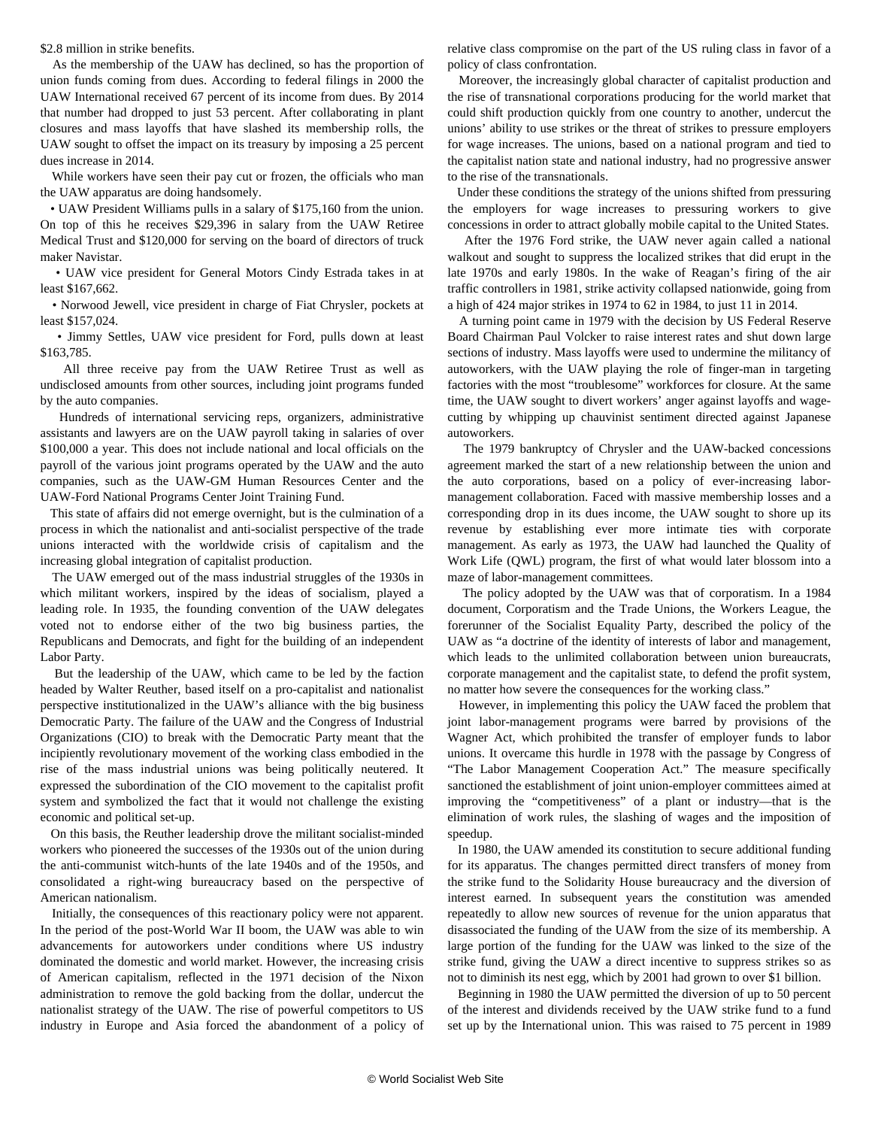## \$2.8 million in strike benefits.

 As the membership of the UAW has declined, so has the proportion of union funds coming from dues. According to federal filings in 2000 the UAW International received 67 percent of its income from dues. By 2014 that number had dropped to just 53 percent. After collaborating in plant closures and mass layoffs that have slashed its membership rolls, the UAW sought to offset the impact on its treasury by imposing a 25 percent dues increase in 2014.

 While workers have seen their pay cut or frozen, the officials who man the UAW apparatus are doing handsomely.

 • UAW President Williams pulls in a salary of \$175,160 from the union. On top of this he receives \$29,396 in salary from the UAW Retiree Medical Trust and \$120,000 for serving on the board of directors of truck maker Navistar.

 • UAW vice president for General Motors Cindy Estrada takes in at least \$167,662.

 • Norwood Jewell, vice president in charge of Fiat Chrysler, pockets at least \$157,024.

 • Jimmy Settles, UAW vice president for Ford, pulls down at least \$163,785.

 All three receive pay from the UAW Retiree Trust as well as undisclosed amounts from other sources, including joint programs funded by the auto companies.

 Hundreds of international servicing reps, organizers, administrative assistants and lawyers are on the UAW payroll taking in salaries of over \$100,000 a year. This does not include national and local officials on the payroll of the various joint programs operated by the UAW and the auto companies, such as the UAW-GM Human Resources Center and the UAW-Ford National Programs Center Joint Training Fund.

 This state of affairs did not emerge overnight, but is the culmination of a process in which the nationalist and anti-socialist perspective of the trade unions interacted with the worldwide crisis of capitalism and the increasing global integration of capitalist production.

 The UAW emerged out of the mass industrial struggles of the 1930s in which militant workers, inspired by the ideas of socialism, played a leading role. In 1935, the founding convention of the UAW delegates voted not to endorse either of the two big business parties, the Republicans and Democrats, and fight for the building of an independent Labor Party.

 But the leadership of the UAW, which came to be led by the faction headed by Walter Reuther, based itself on a pro-capitalist and nationalist perspective institutionalized in the UAW's alliance with the big business Democratic Party. The failure of the UAW and the Congress of Industrial Organizations (CIO) to break with the Democratic Party meant that the incipiently revolutionary movement of the working class embodied in the rise of the mass industrial unions was being politically neutered. It expressed the subordination of the CIO movement to the capitalist profit system and symbolized the fact that it would not challenge the existing economic and political set-up.

 On this basis, the Reuther leadership drove the militant socialist-minded workers who pioneered the successes of the 1930s out of the union during the anti-communist witch-hunts of the late 1940s and of the 1950s, and consolidated a right-wing bureaucracy based on the perspective of American nationalism.

 Initially, the consequences of this reactionary policy were not apparent. In the period of the post-World War II boom, the UAW was able to win advancements for autoworkers under conditions where US industry dominated the domestic and world market. However, the increasing crisis of American capitalism, reflected in the 1971 decision of the Nixon administration to remove the gold backing from the dollar, undercut the nationalist strategy of the UAW. The rise of powerful competitors to US industry in Europe and Asia forced the abandonment of a policy of relative class compromise on the part of the US ruling class in favor of a policy of class confrontation.

 Moreover, the increasingly global character of capitalist production and the rise of transnational corporations producing for the world market that could shift production quickly from one country to another, undercut the unions' ability to use strikes or the threat of strikes to pressure employers for wage increases. The unions, based on a national program and tied to the capitalist nation state and national industry, had no progressive answer to the rise of the transnationals.

 Under these conditions the strategy of the unions shifted from pressuring the employers for wage increases to pressuring workers to give concessions in order to attract globally mobile capital to the United States.

 After the 1976 Ford strike, the UAW never again called a national walkout and sought to suppress the localized strikes that did erupt in the late 1970s and early 1980s. In the wake of Reagan's firing of the air traffic controllers in 1981, strike activity collapsed nationwide, going from a high of 424 major strikes in 1974 to 62 in 1984, to just 11 in 2014.

 A turning point came in 1979 with the decision by US Federal Reserve Board Chairman Paul Volcker to raise interest rates and shut down large sections of industry. Mass layoffs were used to undermine the militancy of autoworkers, with the UAW playing the role of finger-man in targeting factories with the most "troublesome" workforces for closure. At the same time, the UAW sought to divert workers' anger against layoffs and wagecutting by whipping up chauvinist sentiment directed against Japanese autoworkers.

 The 1979 bankruptcy of Chrysler and the UAW-backed concessions agreement marked the start of a new relationship between the union and the auto corporations, based on a policy of ever-increasing labormanagement collaboration. Faced with massive membership losses and a corresponding drop in its dues income, the UAW sought to shore up its revenue by establishing ever more intimate ties with corporate management. As early as 1973, the UAW had launched the Quality of Work Life (QWL) program, the first of what would later blossom into a maze of labor-management committees.

 The policy adopted by the UAW was that of corporatism. In a 1984 document, Corporatism and the Trade Unions, the Workers League, the forerunner of the Socialist Equality Party, described the policy of the UAW as "a doctrine of the identity of interests of labor and management, which leads to the unlimited collaboration between union bureaucrats, corporate management and the capitalist state, to defend the profit system, no matter how severe the consequences for the working class."

 However, in implementing this policy the UAW faced the problem that joint labor-management programs were barred by provisions of the Wagner Act, which prohibited the transfer of employer funds to labor unions. It overcame this hurdle in 1978 with the passage by Congress of "The Labor Management Cooperation Act." The measure specifically sanctioned the establishment of joint union-employer committees aimed at improving the "competitiveness" of a plant or industry—that is the elimination of work rules, the slashing of wages and the imposition of speedup.

 In 1980, the UAW amended its constitution to secure additional funding for its apparatus. The changes permitted direct transfers of money from the strike fund to the Solidarity House bureaucracy and the diversion of interest earned. In subsequent years the constitution was amended repeatedly to allow new sources of revenue for the union apparatus that disassociated the funding of the UAW from the size of its membership. A large portion of the funding for the UAW was linked to the size of the strike fund, giving the UAW a direct incentive to suppress strikes so as not to diminish its nest egg, which by 2001 had grown to over \$1 billion.

 Beginning in 1980 the UAW permitted the diversion of up to 50 percent of the interest and dividends received by the UAW strike fund to a fund set up by the International union. This was raised to 75 percent in 1989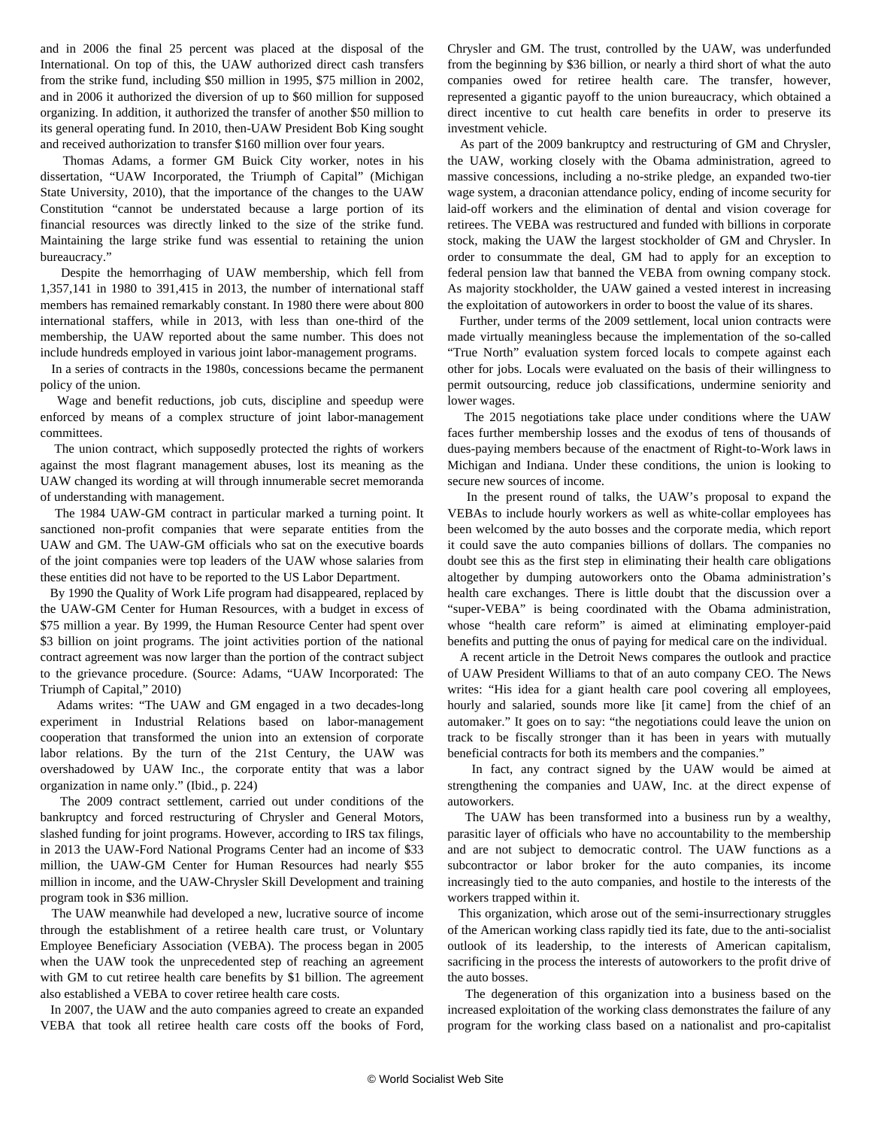and in 2006 the final 25 percent was placed at the disposal of the International. On top of this, the UAW authorized direct cash transfers from the strike fund, including \$50 million in 1995, \$75 million in 2002, and in 2006 it authorized the diversion of up to \$60 million for supposed organizing. In addition, it authorized the transfer of another \$50 million to its general operating fund. In 2010, then-UAW President Bob King sought and received authorization to transfer \$160 million over four years.

 Thomas Adams, a former GM Buick City worker, notes in his dissertation, "UAW Incorporated, the Triumph of Capital" (Michigan State University, 2010), that the importance of the changes to the UAW Constitution "cannot be understated because a large portion of its financial resources was directly linked to the size of the strike fund. Maintaining the large strike fund was essential to retaining the union bureaucracy."

 Despite the hemorrhaging of UAW membership, which fell from 1,357,141 in 1980 to 391,415 in 2013, the number of international staff members has remained remarkably constant. In 1980 there were about 800 international staffers, while in 2013, with less than one-third of the membership, the UAW reported about the same number. This does not include hundreds employed in various joint labor-management programs.

 In a series of contracts in the 1980s, concessions became the permanent policy of the union.

 Wage and benefit reductions, job cuts, discipline and speedup were enforced by means of a complex structure of joint labor-management committees.

 The union contract, which supposedly protected the rights of workers against the most flagrant management abuses, lost its meaning as the UAW changed its wording at will through innumerable secret memoranda of understanding with management.

 The 1984 UAW-GM contract in particular marked a turning point. It sanctioned non-profit companies that were separate entities from the UAW and GM. The UAW-GM officials who sat on the executive boards of the joint companies were top leaders of the UAW whose salaries from these entities did not have to be reported to the US Labor Department.

 By 1990 the Quality of Work Life program had disappeared, replaced by the UAW-GM Center for Human Resources, with a budget in excess of \$75 million a year. By 1999, the Human Resource Center had spent over \$3 billion on joint programs. The joint activities portion of the national contract agreement was now larger than the portion of the contract subject to the grievance procedure. (Source: Adams, "UAW Incorporated: The Triumph of Capital," 2010)

 Adams writes: "The UAW and GM engaged in a two decades-long experiment in Industrial Relations based on labor-management cooperation that transformed the union into an extension of corporate labor relations. By the turn of the 21st Century, the UAW was overshadowed by UAW Inc., the corporate entity that was a labor organization in name only." (Ibid., p. 224)

 The 2009 contract settlement, carried out under conditions of the bankruptcy and forced restructuring of Chrysler and General Motors, slashed funding for joint programs. However, according to IRS tax filings, in 2013 the UAW-Ford National Programs Center had an income of \$33 million, the UAW-GM Center for Human Resources had nearly \$55 million in income, and the UAW-Chrysler Skill Development and training program took in \$36 million.

 The UAW meanwhile had developed a new, lucrative source of income through the establishment of a retiree health care trust, or Voluntary Employee Beneficiary Association (VEBA). The process began in 2005 when the UAW took the unprecedented step of reaching an agreement with GM to cut retiree health care benefits by \$1 billion. The agreement also established a VEBA to cover retiree health care costs.

 In 2007, the UAW and the auto companies agreed to create an expanded VEBA that took all retiree health care costs off the books of Ford, Chrysler and GM. The trust, controlled by the UAW, was underfunded from the beginning by \$36 billion, or nearly a third short of what the auto companies owed for retiree health care. The transfer, however, represented a gigantic payoff to the union bureaucracy, which obtained a direct incentive to cut health care benefits in order to preserve its investment vehicle.

 As part of the 2009 bankruptcy and restructuring of GM and Chrysler, the UAW, working closely with the Obama administration, agreed to massive concessions, including a no-strike pledge, an expanded two-tier wage system, a draconian attendance policy, ending of income security for laid-off workers and the elimination of dental and vision coverage for retirees. The VEBA was restructured and funded with billions in corporate stock, making the UAW the largest stockholder of GM and Chrysler. In order to consummate the deal, GM had to apply for an exception to federal pension law that banned the VEBA from owning company stock. As majority stockholder, the UAW gained a vested interest in increasing the exploitation of autoworkers in order to boost the value of its shares.

 Further, under terms of the 2009 settlement, local union contracts were made virtually meaningless because the implementation of the so-called "True North" evaluation system forced locals to compete against each other for jobs. Locals were evaluated on the basis of their willingness to permit outsourcing, reduce job classifications, undermine seniority and lower wages.

 The 2015 negotiations take place under conditions where the UAW faces further membership losses and the exodus of tens of thousands of dues-paying members because of the enactment of Right-to-Work laws in Michigan and Indiana. Under these conditions, the union is looking to secure new sources of income.

 In the present round of talks, the UAW's proposal to expand the VEBAs to include hourly workers as well as white-collar employees has been welcomed by the auto bosses and the corporate media, which report it could save the auto companies billions of dollars. The companies no doubt see this as the first step in eliminating their health care obligations altogether by dumping autoworkers onto the Obama administration's health care exchanges. There is little doubt that the discussion over a "super-VEBA" is being coordinated with the Obama administration, whose "health care reform" is aimed at eliminating employer-paid benefits and putting the onus of paying for medical care on the individual.

 A recent article in the Detroit News compares the outlook and practice of UAW President Williams to that of an auto company CEO. The News writes: "His idea for a giant health care pool covering all employees, hourly and salaried, sounds more like [it came] from the chief of an automaker." It goes on to say: "the negotiations could leave the union on track to be fiscally stronger than it has been in years with mutually beneficial contracts for both its members and the companies."

 In fact, any contract signed by the UAW would be aimed at strengthening the companies and UAW, Inc. at the direct expense of autoworkers.

 The UAW has been transformed into a business run by a wealthy, parasitic layer of officials who have no accountability to the membership and are not subject to democratic control. The UAW functions as a subcontractor or labor broker for the auto companies, its income increasingly tied to the auto companies, and hostile to the interests of the workers trapped within it.

 This organization, which arose out of the semi-insurrectionary struggles of the American working class rapidly tied its fate, due to the anti-socialist outlook of its leadership, to the interests of American capitalism, sacrificing in the process the interests of autoworkers to the profit drive of the auto bosses.

 The degeneration of this organization into a business based on the increased exploitation of the working class demonstrates the failure of any program for the working class based on a nationalist and pro-capitalist